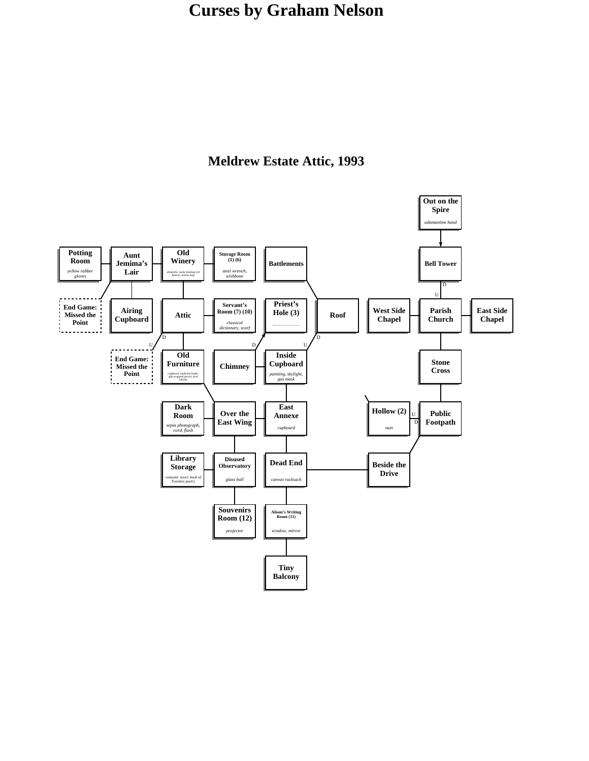

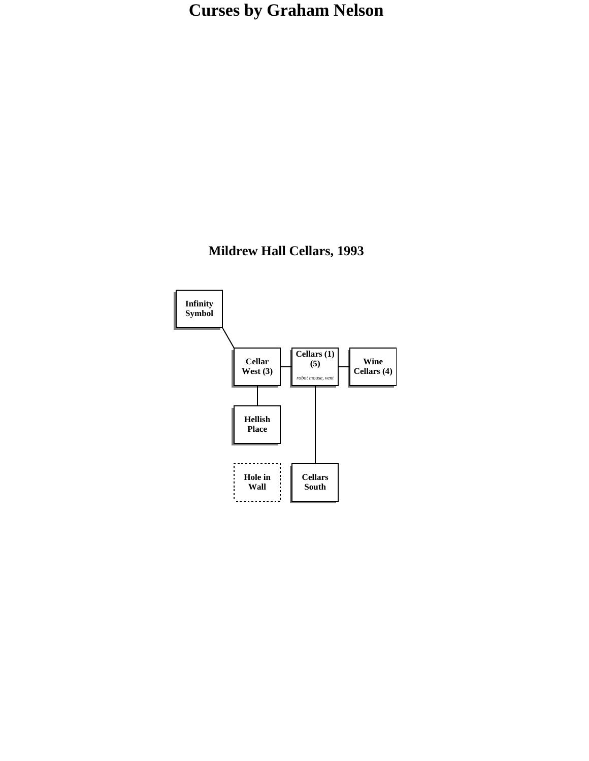### **Mildrew Hall Cellars, 1993**

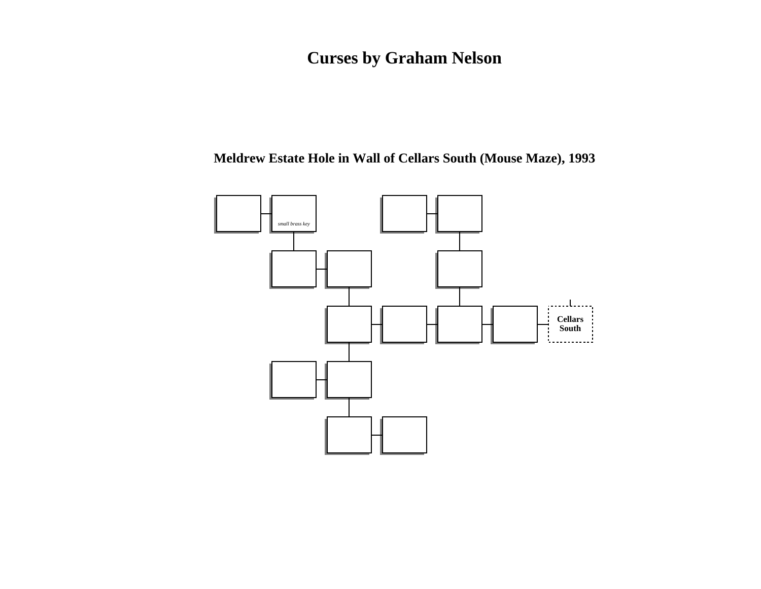### **Meldrew Estate Hole in Wall of Cellars South (Mouse Maze), 1993**

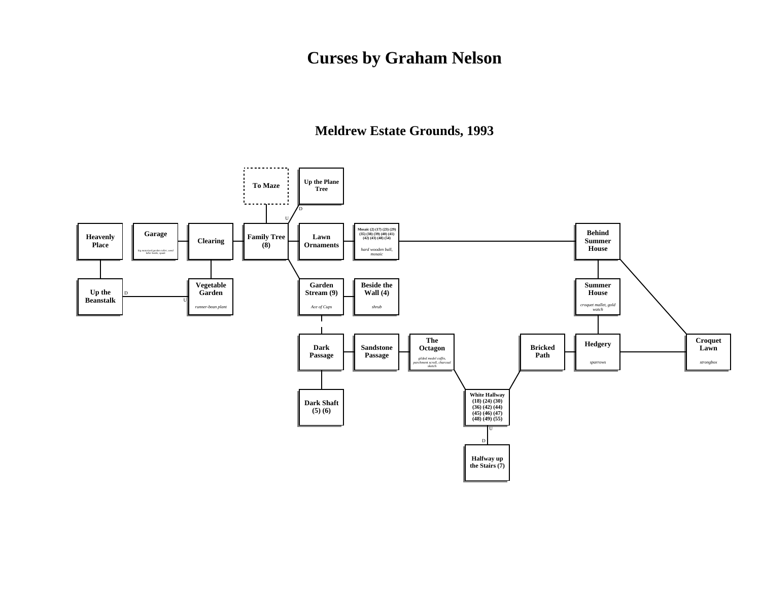**Meldrew Estate Grounds, 1993**

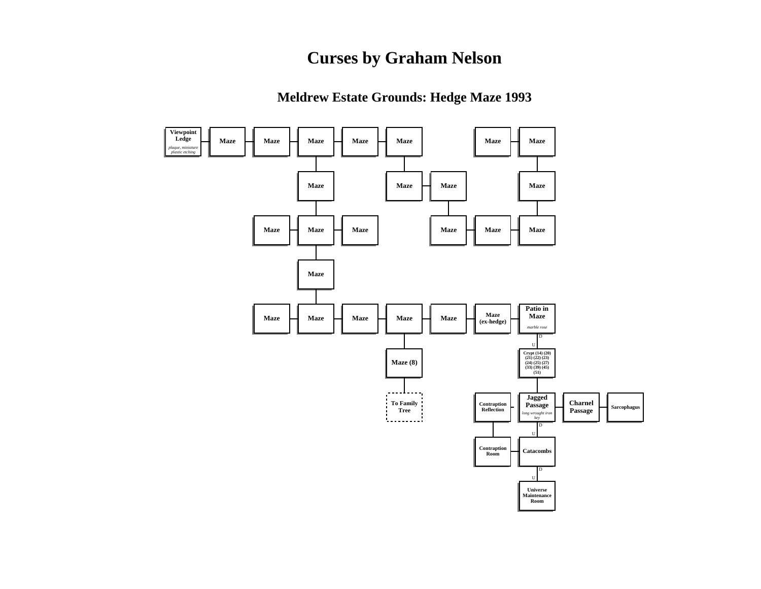**Meldrew Estate Grounds: Hedge Maze 1993**

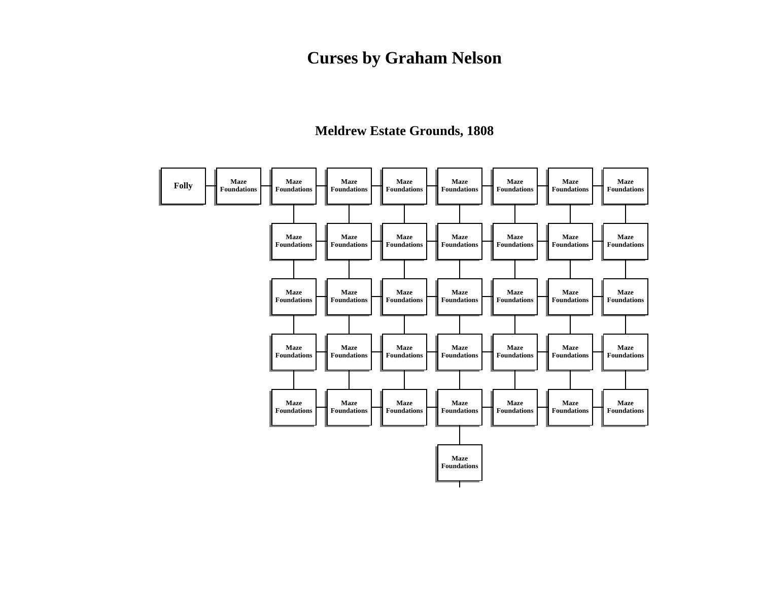### **Meldrew Estate Grounds, 1808**

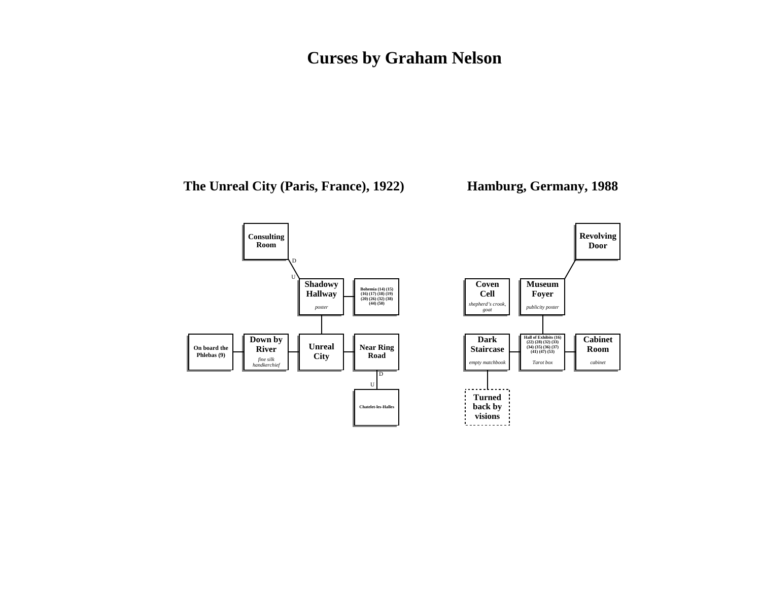#### **The Unreal City (Paris, France), 1922)**

#### **Hamburg, Germany, 1988**

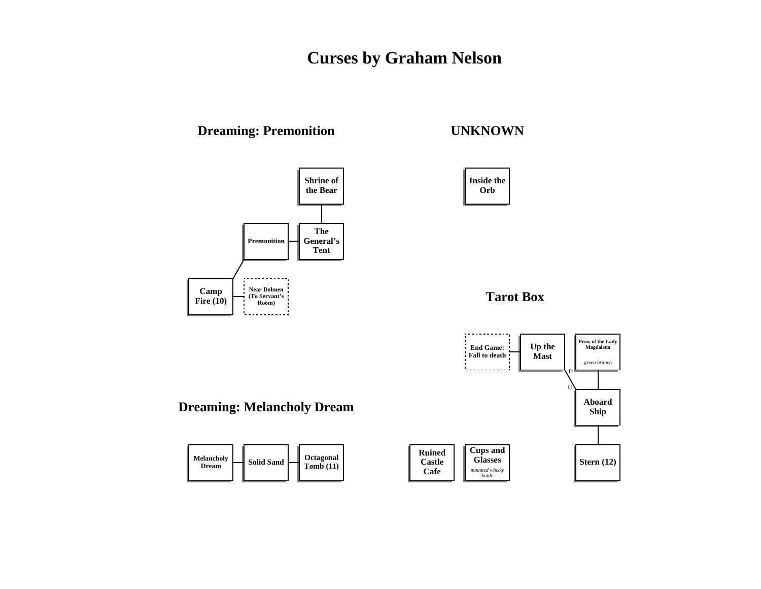### **Dreaming: Premonition**

#### **Shrine of the Bear The Premonition General's Tent**  . . . . . . . . . . . **Near Dolmen Camp (To Servant's Fire (10) Room)**  Ч. . . . . . . . . . . .

#### **UNKNOWN**



**Tarot Box**

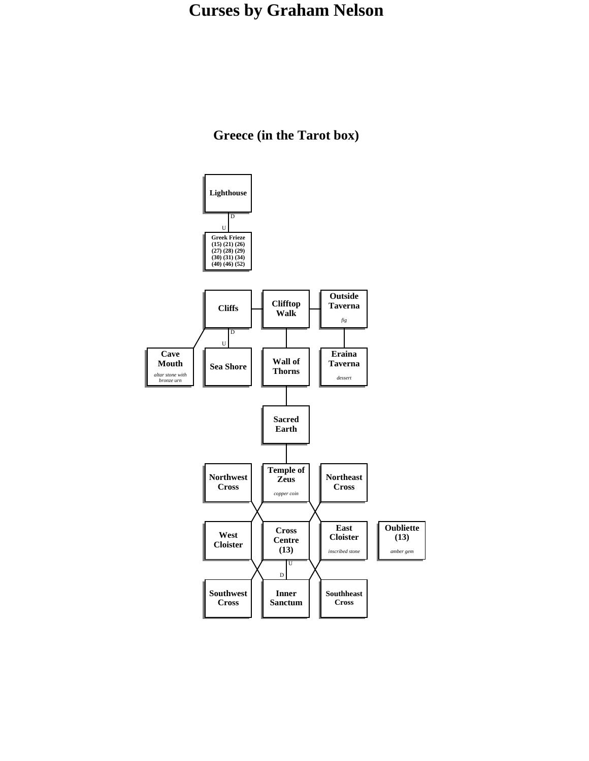**Greece (in the Tarot box)**

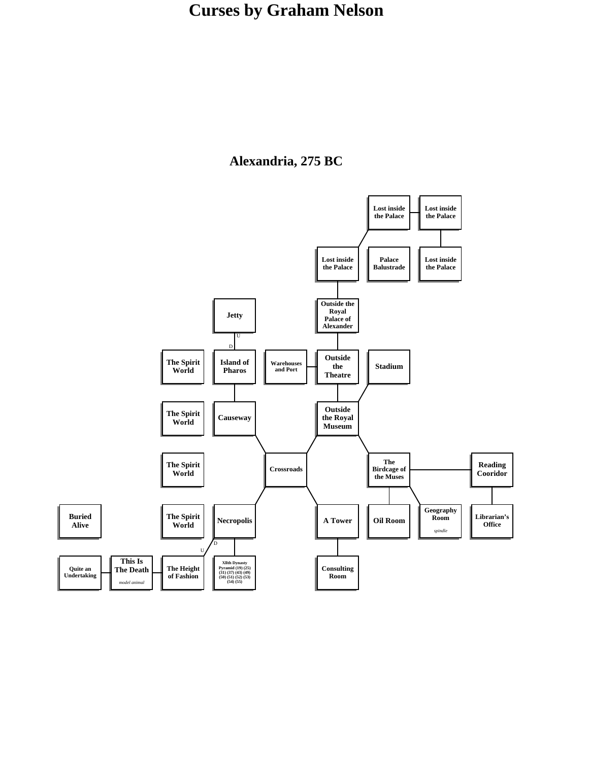### **Alexandria, 275 BC**